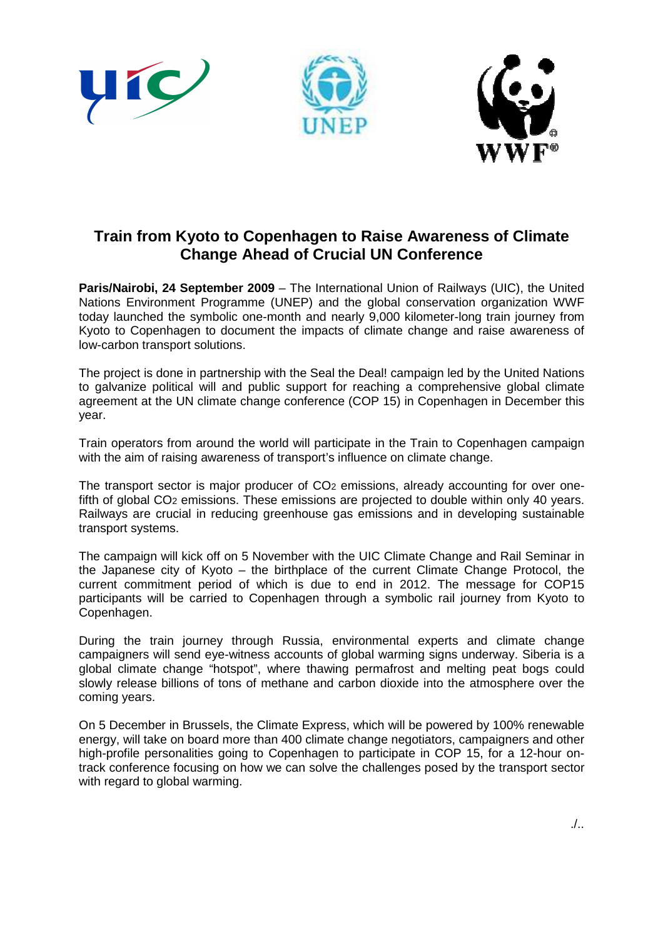

## **Train from Kyoto to Copenhagen to Raise Awareness of Climate Change Ahead of Crucial UN Conference**

**Paris/Nairobi, 24 September 2009** – The International Union of Railways (UIC), the United Nations Environment Programme (UNEP) and the global conservation organization WWF today launched the symbolic one-month and nearly 9,000 kilometer-long train journey from Kyoto to Copenhagen to document the impacts of climate change and raise awareness of low-carbon transport solutions.

The project is done in partnership with the Seal the Deal! campaign led by the United Nations to galvanize political will and public support for reaching a comprehensive global climate agreement at the UN climate change conference (COP 15) in Copenhagen in December this year.

Train operators from around the world will participate in the Train to Copenhagen campaign with the aim of raising awareness of transport's influence on climate change.

The transport sector is major producer of CO<sub>2</sub> emissions, already accounting for over onefifth of global CO2 emissions. These emissions are projected to double within only 40 years. Railways are crucial in reducing greenhouse gas emissions and in developing sustainable transport systems.

The campaign will kick off on 5 November with the UIC Climate Change and Rail Seminar in the Japanese city of Kyoto – the birthplace of the current Climate Change Protocol, the current commitment period of which is due to end in 2012. The message for COP15 participants will be carried to Copenhagen through a symbolic rail journey from Kyoto to Copenhagen.

During the train journey through Russia, environmental experts and climate change campaigners will send eye-witness accounts of global warming signs underway. Siberia is a global climate change "hotspot", where thawing permafrost and melting peat bogs could slowly release billions of tons of methane and carbon dioxide into the atmosphere over the coming years.

On 5 December in Brussels, the Climate Express, which will be powered by 100% renewable energy, will take on board more than 400 climate change negotiators, campaigners and other high-profile personalities going to Copenhagen to participate in COP 15, for a 12-hour ontrack conference focusing on how we can solve the challenges posed by the transport sector with regard to global warming.